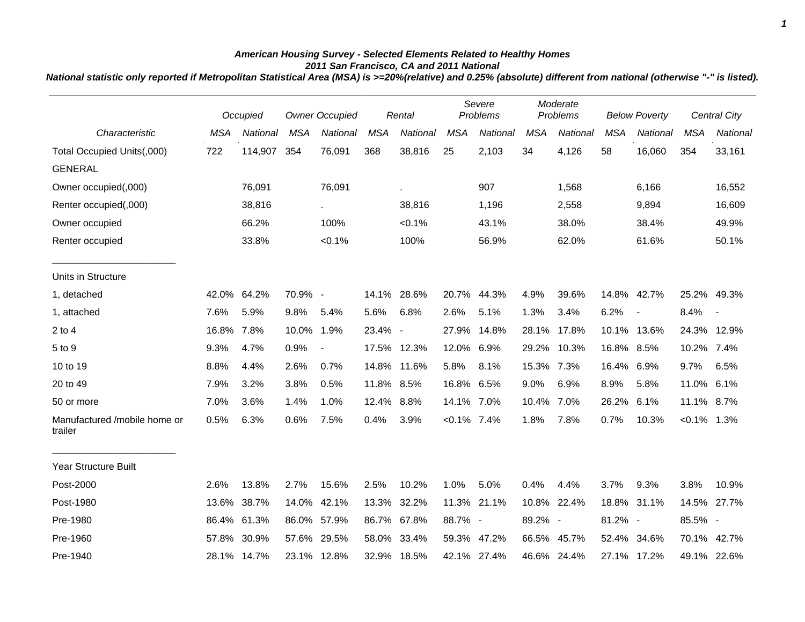## *American Housing Survey - Selected Elements Related to Healthy Homes 2011 San Francisco, CA and 2011 National*

*National statistic only reported if Metropolitan Statistical Area (MSA) is >=20%(relative) and 0.25% (absolute) different from national (otherwise "-" is listed).*

|                                         |            | Occupied        |             | <b>Owner Occupied</b> |            | Rental      |                | Severe<br>Problems |            | Moderate<br>Problems |            | <b>Below Poverty</b> |                | <b>Central City</b> |
|-----------------------------------------|------------|-----------------|-------------|-----------------------|------------|-------------|----------------|--------------------|------------|----------------------|------------|----------------------|----------------|---------------------|
| Characteristic                          | <b>MSA</b> | <b>National</b> | <b>MSA</b>  | <b>National</b>       | <b>MSA</b> | National    | <b>MSA</b>     | <b>National</b>    | <b>MSA</b> | National             | <b>MSA</b> | National             | <b>MSA</b>     | National            |
| Total Occupied Units(,000)              | 722        | 114,907         | 354         | 76,091                | 368        | 38,816      | 25             | 2,103              | 34         | 4,126                | 58         | 16,060               | 354            | 33,161              |
| <b>GENERAL</b>                          |            |                 |             |                       |            |             |                |                    |            |                      |            |                      |                |                     |
| Owner occupied(,000)                    |            | 76,091          |             | 76,091                |            | ä,          |                | 907                |            | 1,568                |            | 6,166                |                | 16,552              |
| Renter occupied(,000)                   |            | 38,816          |             |                       |            | 38,816      |                | 1,196              |            | 2,558                |            | 9,894                |                | 16,609              |
| Owner occupied                          |            | 66.2%           |             | 100%                  |            | $< 0.1\%$   |                | 43.1%              |            | 38.0%                |            | 38.4%                |                | 49.9%               |
| Renter occupied                         |            | 33.8%           |             | < 0.1%                |            | 100%        |                | 56.9%              |            | 62.0%                |            | 61.6%                |                | 50.1%               |
| Units in Structure                      |            |                 |             |                       |            |             |                |                    |            |                      |            |                      |                |                     |
| 1, detached                             | 42.0%      | 64.2%           | 70.9% -     |                       |            | 14.1% 28.6% |                | 20.7% 44.3%        | 4.9%       | 39.6%                |            | 14.8% 42.7%          | 25.2% 49.3%    |                     |
| 1, attached                             | 7.6%       | 5.9%            | 9.8%        | 5.4%                  | 5.6%       | 6.8%        | 2.6%           | 5.1%               | 1.3%       | 3.4%                 | 6.2%       | $\blacksquare$       | 8.4%           | $\blacksquare$      |
| $2$ to $4$                              | 16.8%      | 7.8%            | 10.0%       | 1.9%                  | 23.4% -    |             | 27.9%          | 14.8%              | 28.1%      | 17.8%                |            | 10.1% 13.6%          | 24.3% 12.9%    |                     |
| 5 to 9                                  | 9.3%       | 4.7%            | 0.9%        | $\blacksquare$        |            | 17.5% 12.3% | 12.0% 6.9%     |                    | 29.2%      | 10.3%                | 16.8% 8.5% |                      | 10.2% 7.4%     |                     |
| 10 to 19                                | 8.8%       | 4.4%            | 2.6%        | 0.7%                  |            | 14.8% 11.6% | 5.8%           | 8.1%               | 15.3% 7.3% |                      | 16.4% 6.9% |                      | 9.7%           | 6.5%                |
| 20 to 49                                | 7.9%       | 3.2%            | 3.8%        | 0.5%                  | 11.8% 8.5% |             | 16.8% 6.5%     |                    | 9.0%       | 6.9%                 | 8.9%       | 5.8%                 | 11.0%          | 6.1%                |
| 50 or more                              | 7.0%       | 3.6%            | 1.4%        | 1.0%                  | 12.4% 8.8% |             | 14.1% 7.0%     |                    | 10.4%      | 7.0%                 | 26.2%      | 6.1%                 | 11.1% 8.7%     |                     |
| Manufactured /mobile home or<br>trailer | 0.5%       | 6.3%            | 0.6%        | 7.5%                  | 0.4%       | 3.9%        | $< 0.1\%$ 7.4% |                    | 1.8%       | 7.8%                 | 0.7%       | 10.3%                | $< 0.1\%$ 1.3% |                     |
| Year Structure Built                    |            |                 |             |                       |            |             |                |                    |            |                      |            |                      |                |                     |
| Post-2000                               | 2.6%       | 13.8%           | 2.7%        | 15.6%                 | 2.5%       | 10.2%       | 1.0%           | 5.0%               | 0.4%       | 4.4%                 | 3.7%       | 9.3%                 | 3.8%           | 10.9%               |
| Post-1980                               | 13.6%      | 38.7%           | 14.0%       | 42.1%                 | 13.3%      | 32.2%       | 11.3%          | 21.1%              | 10.8%      | 22.4%                | 18.8%      | 31.1%                | 14.5%          | 27.7%               |
| Pre-1980                                | 86.4%      | 61.3%           | 86.0% 57.9% |                       |            | 86.7% 67.8% | 88.7% -        |                    | 89.2% -    |                      | 81.2% -    |                      | 85.5% -        |                     |
| Pre-1960                                | 57.8%      | 30.9%           | 57.6% 29.5% |                       |            | 58.0% 33.4% |                | 59.3% 47.2%        |            | 66.5% 45.7%          |            | 52.4% 34.6%          | 70.1% 42.7%    |                     |
| Pre-1940                                |            | 28.1% 14.7%     | 23.1% 12.8% |                       |            | 32.9% 18.5% |                | 42.1% 27.4%        |            | 46.6% 24.4%          |            | 27.1% 17.2%          |                | 49.1% 22.6%         |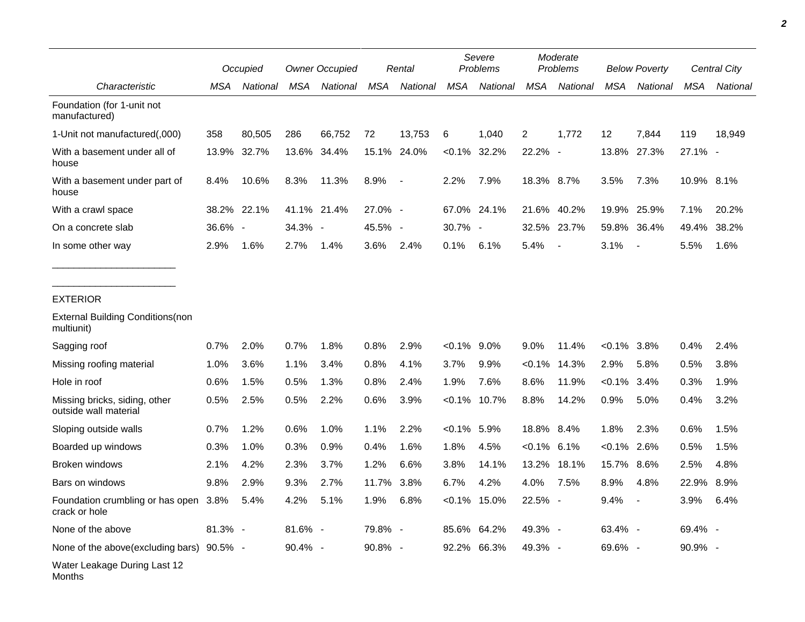|                                                             |            | Occupied    |         | <b>Owner Occupied</b> |            | Rental         |                | Severe<br>Problems |                | Moderate<br>Problems     |                | <b>Below Poverty</b>     |            | Central City |
|-------------------------------------------------------------|------------|-------------|---------|-----------------------|------------|----------------|----------------|--------------------|----------------|--------------------------|----------------|--------------------------|------------|--------------|
| Characteristic                                              | <b>MSA</b> | National    | MSA     | National              | <b>MSA</b> | National       | <b>MSA</b>     | National           | MSA            | National                 | <b>MSA</b>     | National                 | <b>MSA</b> | National     |
| Foundation (for 1-unit not<br>manufactured)                 |            |             |         |                       |            |                |                |                    |                |                          |                |                          |            |              |
| 1-Unit not manufactured(,000)                               | 358        | 80,505      | 286     | 66,752                | 72         | 13,753         | 6              | 1,040              | 2              | 1,772                    | 12             | 7,844                    | 119        | 18,949       |
| With a basement under all of<br>house                       | 13.9%      | 32.7%       | 13.6%   | 34.4%                 | 15.1%      | 24.0%          | $< 0.1\%$      | 32.2%              | 22.2% -        |                          | 13.8%          | 27.3%                    | $27.1\%$ - |              |
| With a basement under part of<br>house                      | 8.4%       | 10.6%       | 8.3%    | 11.3%                 | 8.9%       | $\blacksquare$ | 2.2%           | 7.9%               | 18.3% 8.7%     |                          | 3.5%           | 7.3%                     | 10.9% 8.1% |              |
| With a crawl space                                          |            | 38.2% 22.1% |         | 41.1% 21.4%           | 27.0% -    |                |                | 67.0% 24.1%        | 21.6%          | 40.2%                    | 19.9%          | 25.9%                    | 7.1%       | 20.2%        |
| On a concrete slab                                          | 36.6% -    |             | 34.3% - |                       | 45.5% -    |                | 30.7% -        |                    |                | 32.5% 23.7%              |                | 59.8% 36.4%              | 49.4%      | 38.2%        |
| In some other way                                           | 2.9%       | 1.6%        | 2.7%    | 1.4%                  | 3.6%       | 2.4%           | 0.1%           | 6.1%               | 5.4%           | $\overline{\phantom{a}}$ | 3.1%           | $\overline{\phantom{a}}$ | 5.5%       | 1.6%         |
|                                                             |            |             |         |                       |            |                |                |                    |                |                          |                |                          |            |              |
| <b>EXTERIOR</b><br><b>External Building Conditions (non</b> |            |             |         |                       |            |                |                |                    |                |                          |                |                          |            |              |
| multiunit)                                                  |            |             |         |                       |            |                |                |                    |                |                          |                |                          |            |              |
| Sagging roof                                                | 0.7%       | 2.0%        | 0.7%    | 1.8%                  | 0.8%       | 2.9%           | $<0.1\%$ 9.0%  |                    | 9.0%           | 11.4%                    | $< 0.1\%$      | 3.8%                     | 0.4%       | 2.4%         |
| Missing roofing material                                    | 1.0%       | 3.6%        | 1.1%    | 3.4%                  | 0.8%       | 4.1%           | 3.7%           | 9.9%               | $< 0.1\%$      | 14.3%                    | 2.9%           | 5.8%                     | 0.5%       | 3.8%         |
| Hole in roof                                                | 0.6%       | 1.5%        | 0.5%    | 1.3%                  | 0.8%       | 2.4%           | 1.9%           | 7.6%               | 8.6%           | 11.9%                    | $< 0.1\%$      | 3.4%                     | 0.3%       | 1.9%         |
| Missing bricks, siding, other<br>outside wall material      | 0.5%       | 2.5%        | 0.5%    | 2.2%                  | 0.6%       | 3.9%           | $< 0.1\%$      | 10.7%              | 8.8%           | 14.2%                    | 0.9%           | 5.0%                     | 0.4%       | 3.2%         |
| Sloping outside walls                                       | 0.7%       | 1.2%        | 0.6%    | 1.0%                  | 1.1%       | 2.2%           | $< 0.1\%$ 5.9% |                    | 18.8% 8.4%     |                          | 1.8%           | 2.3%                     | 0.6%       | 1.5%         |
| Boarded up windows                                          | 0.3%       | 1.0%        | 0.3%    | 0.9%                  | 0.4%       | 1.6%           | 1.8%           | 4.5%               | $< 0.1\%$ 6.1% |                          | $< 0.1\%$ 2.6% |                          | 0.5%       | 1.5%         |
| Broken windows                                              | 2.1%       | 4.2%        | 2.3%    | 3.7%                  | 1.2%       | 6.6%           | 3.8%           | 14.1%              | 13.2%          | 18.1%                    | 15.7%          | 8.6%                     | 2.5%       | 4.8%         |
| Bars on windows                                             | 9.8%       | 2.9%        | 9.3%    | 2.7%                  | 11.7%      | 3.8%           | 6.7%           | 4.2%               | 4.0%           | 7.5%                     | 8.9%           | 4.8%                     | 22.9%      | 8.9%         |
| Foundation crumbling or has open 3.8%<br>crack or hole      |            | 5.4%        | 4.2%    | 5.1%                  | 1.9%       | 6.8%           | $< 0.1\%$      | 15.0%              | 22.5% -        |                          | 9.4%           |                          | 3.9%       | 6.4%         |
| None of the above                                           | 81.3% -    |             | 81.6% - |                       | 79.8% -    |                |                | 85.6% 64.2%        | 49.3% -        |                          | 63.4% -        |                          | 69.4% -    |              |
| None of the above(excluding bars) 90.5% -                   |            |             | 90.4% - |                       | 90.8% -    |                |                | 92.2% 66.3%        | 49.3% -        |                          | 69.6% -        |                          | 90.9% -    |              |
| Water Leakage During Last 12<br>Months                      |            |             |         |                       |            |                |                |                    |                |                          |                |                          |            |              |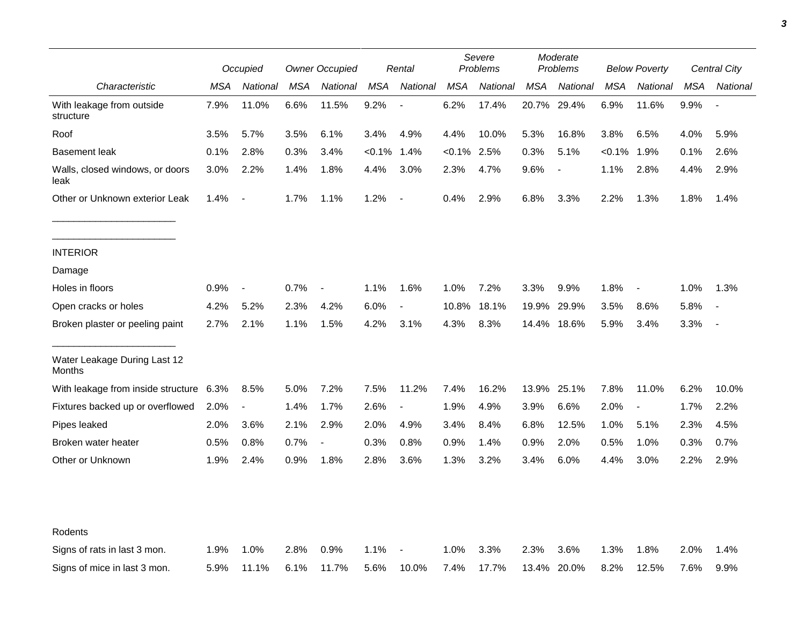|                                         |      | Occupied                 |      | <b>Owner Occupied</b>    |            | Rental                   |            | Severe<br>Problems |            | Moderate<br>Problems         |            | <b>Below Poverty</b>     |      | Central City |
|-----------------------------------------|------|--------------------------|------|--------------------------|------------|--------------------------|------------|--------------------|------------|------------------------------|------------|--------------------------|------|--------------|
| Characteristic                          | MSA  | National                 | MSA  | National                 | <b>MSA</b> | National                 | <b>MSA</b> | National           | <b>MSA</b> | National                     | <b>MSA</b> | National                 | MSA  | National     |
| With leakage from outside<br>structure  | 7.9% | 11.0%                    | 6.6% | 11.5%                    | 9.2%       |                          | 6.2%       | 17.4%              | 20.7%      | 29.4%                        | 6.9%       | 11.6%                    | 9.9% |              |
| Roof                                    | 3.5% | 5.7%                     | 3.5% | 6.1%                     | 3.4%       | 4.9%                     | 4.4%       | 10.0%              | 5.3%       | 16.8%                        | 3.8%       | 6.5%                     | 4.0% | 5.9%         |
| <b>Basement leak</b>                    | 0.1% | 2.8%                     | 0.3% | 3.4%                     | $< 0.1\%$  | 1.4%                     | $< 0.1\%$  | 2.5%               | 0.3%       | 5.1%                         | $< 0.1\%$  | 1.9%                     | 0.1% | 2.6%         |
| Walls, closed windows, or doors<br>leak | 3.0% | 2.2%                     | 1.4% | 1.8%                     | 4.4%       | 3.0%                     | 2.3%       | 4.7%               | 9.6%       | $\qquad \qquad \blacksquare$ | 1.1%       | 2.8%                     | 4.4% | 2.9%         |
| Other or Unknown exterior Leak          | 1.4% | $\blacksquare$           | 1.7% | 1.1%                     | 1.2%       | $\blacksquare$           | 0.4%       | 2.9%               | 6.8%       | 3.3%                         | 2.2%       | 1.3%                     | 1.8% | 1.4%         |
| <b>INTERIOR</b>                         |      |                          |      |                          |            |                          |            |                    |            |                              |            |                          |      |              |
| Damage                                  |      |                          |      |                          |            |                          |            |                    |            |                              |            |                          |      |              |
| Holes in floors                         | 0.9% | $\overline{\phantom{a}}$ | 0.7% | $\overline{\phantom{a}}$ | 1.1%       | 1.6%                     | 1.0%       | 7.2%               | 3.3%       | 9.9%                         | 1.8%       | $\overline{\phantom{a}}$ | 1.0% | 1.3%         |
| Open cracks or holes                    | 4.2% | 5.2%                     | 2.3% | 4.2%                     | 6.0%       | $\overline{\phantom{a}}$ | 10.8%      | 18.1%              | 19.9%      | 29.9%                        | 3.5%       | 8.6%                     | 5.8% |              |
| Broken plaster or peeling paint         | 2.7% | 2.1%                     | 1.1% | 1.5%                     | 4.2%       | 3.1%                     | 4.3%       | 8.3%               | 14.4%      | 18.6%                        | 5.9%       | 3.4%                     | 3.3% |              |
| Water Leakage During Last 12<br>Months  |      |                          |      |                          |            |                          |            |                    |            |                              |            |                          |      |              |
| With leakage from inside structure      | 6.3% | 8.5%                     | 5.0% | 7.2%                     | 7.5%       | 11.2%                    | 7.4%       | 16.2%              | 13.9%      | 25.1%                        | 7.8%       | 11.0%                    | 6.2% | 10.0%        |
| Fixtures backed up or overflowed        | 2.0% | $\overline{\phantom{a}}$ | 1.4% | 1.7%                     | 2.6%       | $\blacksquare$           | 1.9%       | 4.9%               | 3.9%       | 6.6%                         | 2.0%       | $\overline{\phantom{a}}$ | 1.7% | 2.2%         |
| Pipes leaked                            | 2.0% | 3.6%                     | 2.1% | 2.9%                     | 2.0%       | 4.9%                     | 3.4%       | 8.4%               | 6.8%       | 12.5%                        | 1.0%       | 5.1%                     | 2.3% | 4.5%         |
| Broken water heater                     | 0.5% | 0.8%                     | 0.7% | $\overline{a}$           | 0.3%       | 0.8%                     | 0.9%       | 1.4%               | 0.9%       | 2.0%                         | 0.5%       | 1.0%                     | 0.3% | 0.7%         |
| Other or Unknown                        | 1.9% | 2.4%                     | 0.9% | 1.8%                     | 2.8%       | 3.6%                     | 1.3%       | 3.2%               | 3.4%       | 6.0%                         | 4.4%       | 3.0%                     | 2.2% | 2.9%         |
|                                         |      |                          |      |                          |            |                          |            |                    |            |                              |            |                          |      |              |
| Rodents                                 |      |                          |      |                          |            |                          |            |                    |            |                              |            |                          |      |              |
| Signs of rats in last 3 mon.            | 1.9% | 1.0%                     | 2.8% | 0.9%                     | 1.1%       |                          | 1.0%       | 3.3%               | 2.3%       | 3.6%                         | 1.3%       | 1.8%                     | 2.0% | 1.4%         |
| Signs of mice in last 3 mon.            | 5.9% | 11.1%                    | 6.1% | 11.7%                    | 5.6%       | 10.0%                    | 7.4%       | 17.7%              | 13.4%      | 20.0%                        | 8.2%       | 12.5%                    | 7.6% | 9.9%         |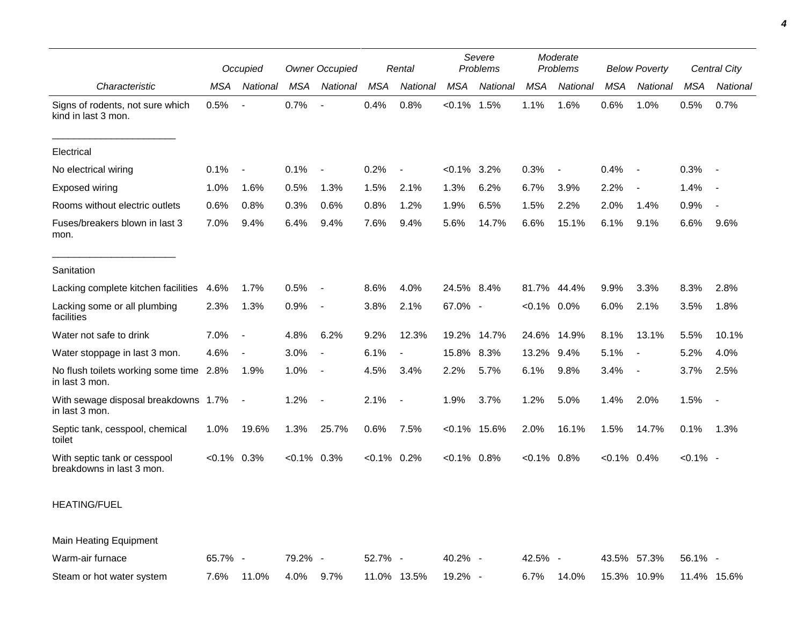|                                                           | Occupied       |                          | <b>Owner Occupied</b> |                          | Rental         |          | Severe<br>Problems |                 | Moderate<br>Problems |                          | <b>Below Poverty</b> |                          | Central City |                          |
|-----------------------------------------------------------|----------------|--------------------------|-----------------------|--------------------------|----------------|----------|--------------------|-----------------|----------------------|--------------------------|----------------------|--------------------------|--------------|--------------------------|
| Characteristic                                            | <b>MSA</b>     | National                 | MSA                   | National                 | <b>MSA</b>     | National | <b>MSA</b>         | National        | <b>MSA</b>           | National                 | <b>MSA</b>           | National                 | <b>MSA</b>   | National                 |
| Signs of rodents, not sure which<br>kind in last 3 mon.   | 0.5%           |                          | 0.7%                  | $\overline{\phantom{a}}$ | 0.4%           | 0.8%     | $< 0.1\%$ 1.5%     |                 | 1.1%                 | 1.6%                     | 0.6%                 | 1.0%                     | 0.5%         | 0.7%                     |
| Electrical                                                |                |                          |                       |                          |                |          |                    |                 |                      |                          |                      |                          |              |                          |
| No electrical wiring                                      | 0.1%           | $\overline{\phantom{a}}$ | 0.1%                  | $\overline{\phantom{a}}$ | 0.2%           |          | $< 0.1\%$          | 3.2%            | 0.3%                 | $\overline{\phantom{a}}$ | 0.4%                 | $\overline{\phantom{a}}$ | 0.3%         |                          |
| <b>Exposed wiring</b>                                     | 1.0%           | 1.6%                     | 0.5%                  | 1.3%                     | 1.5%           | 2.1%     | 1.3%               | 6.2%            | 6.7%                 | 3.9%                     | 2.2%                 | $\overline{\phantom{a}}$ | 1.4%         | $\sim$                   |
| Rooms without electric outlets                            | 0.6%           | 0.8%                     | 0.3%                  | 0.6%                     | 0.8%           | 1.2%     | 1.9%               | 6.5%            | 1.5%                 | 2.2%                     | 2.0%                 | 1.4%                     | 0.9%         |                          |
| Fuses/breakers blown in last 3<br>mon.                    | 7.0%           | 9.4%                     | 6.4%                  | 9.4%                     | 7.6%           | 9.4%     | 5.6%               | 14.7%           | 6.6%                 | 15.1%                    | 6.1%                 | 9.1%                     | 6.6%         | 9.6%                     |
| Sanitation                                                |                |                          |                       |                          |                |          |                    |                 |                      |                          |                      |                          |              |                          |
| Lacking complete kitchen facilities                       | 4.6%           | 1.7%                     | 0.5%                  | $\sim$                   | 8.6%           | 4.0%     | 24.5% 8.4%         |                 | 81.7%                | 44.4%                    | 9.9%                 | 3.3%                     | 8.3%         | 2.8%                     |
| Lacking some or all plumbing<br>facilities                | 2.3%           | 1.3%                     | 0.9%                  | $\sim$                   | 3.8%           | 2.1%     | 67.0% -            |                 | $< 0.1\%$ 0.0%       |                          | 6.0%                 | 2.1%                     | 3.5%         | 1.8%                     |
| Water not safe to drink                                   | 7.0%           | $\overline{\phantom{a}}$ | 4.8%                  | 6.2%                     | 9.2%           | 12.3%    | 19.2%              | 14.7%           |                      | 24.6% 14.9%              | 8.1%                 | 13.1%                    | 5.5%         | 10.1%                    |
| Water stoppage in last 3 mon.                             | 4.6%           | $\overline{\phantom{a}}$ | 3.0%                  | $\overline{\phantom{a}}$ | 6.1%           |          | 15.8%              | 8.3%            | 13.2%                | 9.4%                     | 5.1%                 | $\overline{\phantom{a}}$ | 5.2%         | 4.0%                     |
| No flush toilets working some time 2.8%<br>in last 3 mon. |                | 1.9%                     | 1.0%                  | $\sim$                   | 4.5%           | 3.4%     | 2.2%               | 5.7%            | 6.1%                 | 9.8%                     | 3.4%                 | $\overline{\phantom{a}}$ | 3.7%         | 2.5%                     |
| With sewage disposal breakdowns 1.7%<br>in last 3 mon.    |                | $\overline{\phantom{a}}$ | 1.2%                  | $\sim$                   | 2.1%           |          | 1.9%               | 3.7%            | 1.2%                 | 5.0%                     | 1.4%                 | 2.0%                     | 1.5%         | $\overline{\phantom{a}}$ |
| Septic tank, cesspool, chemical<br>toilet                 | 1.0%           | 19.6%                    | 1.3%                  | 25.7%                    | 0.6%           | 7.5%     |                    | $< 0.1\%$ 15.6% | 2.0%                 | 16.1%                    | 1.5%                 | 14.7%                    | 0.1%         | 1.3%                     |
| With septic tank or cesspool<br>breakdowns in last 3 mon. | $< 0.1\%$ 0.3% |                          | $<0.1\%$ 0.3%         |                          | $< 0.1\%$ 0.2% |          | $< 0.1\%$ 0.8%     |                 | $< 0.1\%$ 0.8%       |                          | $< 0.1\%$ 0.4%       |                          | $< 0.1\%$ -  |                          |
| <b>HEATING/FUEL</b>                                       |                |                          |                       |                          |                |          |                    |                 |                      |                          |                      |                          |              |                          |

Main Heating Equipment

| Warm-air furnace          | 65.7% - |                      | $79.2\%$ - | 52.7% - |                       | $40.2\%$ - | $42.5\%$ - |                                         | 43.5% 57.3% 56.1% - |  |
|---------------------------|---------|----------------------|------------|---------|-----------------------|------------|------------|-----------------------------------------|---------------------|--|
| Steam or hot water system |         | 7.6% 11.0% 4.0% 9.7% |            |         | 11.0%  13.5%  19.2% - |            |            | 6.7%  14.0%  15.3%  10.9%  11.4%  15.6% |                     |  |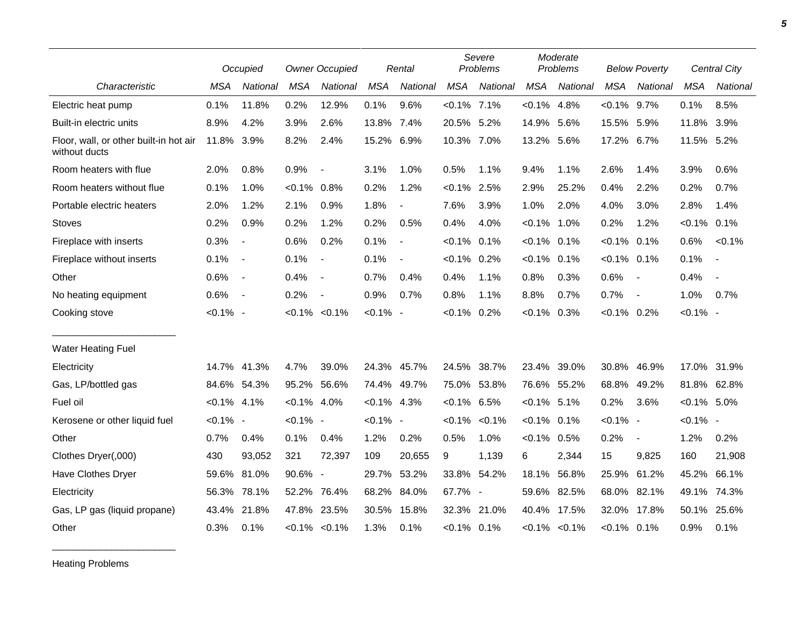|                                                         |                | Occupied                 |                | <b>Owner Occupied</b>    |                | Rental         |                | Severe<br>Problems |                | Moderate<br>Problems |                | <b>Below Poverty</b>     |                | <b>Central City</b>      |
|---------------------------------------------------------|----------------|--------------------------|----------------|--------------------------|----------------|----------------|----------------|--------------------|----------------|----------------------|----------------|--------------------------|----------------|--------------------------|
| Characteristic                                          | <b>MSA</b>     | National                 | <b>MSA</b>     | National                 | <b>MSA</b>     | National       | <b>MSA</b>     | National           | <b>MSA</b>     | National             | <b>MSA</b>     | National                 | <b>MSA</b>     | National                 |
| Electric heat pump                                      | 0.1%           | 11.8%                    | 0.2%           | 12.9%                    | 0.1%           | 9.6%           | $< 0.1\%$ 7.1% |                    | $< 0.1\%$      | 4.8%                 | $< 0.1\%$      | 9.7%                     | 0.1%           | 8.5%                     |
| Built-in electric units                                 | 8.9%           | 4.2%                     | 3.9%           | 2.6%                     | 13.8% 7.4%     |                | 20.5% 5.2%     |                    | 14.9%          | 5.6%                 | 15.5%          | 5.9%                     | 11.8%          | 3.9%                     |
| Floor, wall, or other built-in hot air<br>without ducts | 11.8%          | 3.9%                     | 8.2%           | 2.4%                     | 15.2%          | 6.9%           | 10.3% 7.0%     |                    | 13.2% 5.6%     |                      | 17.2%          | 6.7%                     | 11.5% 5.2%     |                          |
| Room heaters with flue                                  | 2.0%           | 0.8%                     | 0.9%           | $\overline{\phantom{a}}$ | 3.1%           | 1.0%           | 0.5%           | 1.1%               | 9.4%           | 1.1%                 | 2.6%           | 1.4%                     | 3.9%           | 0.6%                     |
| Room heaters without flue                               | 0.1%           | 1.0%                     | $< 0.1\%$      | 0.8%                     | 0.2%           | 1.2%           | $< 0.1\%$ 2.5% |                    | 2.9%           | 25.2%                | 0.4%           | 2.2%                     | 0.2%           | 0.7%                     |
| Portable electric heaters                               | 2.0%           | 1.2%                     | 2.1%           | 0.9%                     | 1.8%           | $\overline{a}$ | 7.6%           | 3.9%               | 1.0%           | 2.0%                 | 4.0%           | 3.0%                     | 2.8%           | 1.4%                     |
| <b>Stoves</b>                                           | 0.2%           | 0.9%                     | 0.2%           | 1.2%                     | 0.2%           | 0.5%           | 0.4%           | 4.0%               | $< 0.1\%$      | 1.0%                 | 0.2%           | 1.2%                     | $< 0.1\%$      | 0.1%                     |
| Fireplace with inserts                                  | 0.3%           | $\blacksquare$           | 0.6%           | 0.2%                     | 0.1%           | $\blacksquare$ | $< 0.1\%$      | 0.1%               | $< 0.1\%$      | 0.1%                 | $< 0.1\%$ 0.1% |                          | 0.6%           | $< 0.1\%$                |
| Fireplace without inserts                               | 0.1%           | $\overline{\phantom{a}}$ | 0.1%           | $\overline{\phantom{a}}$ | 0.1%           | $\blacksquare$ | $< 0.1\%$ 0.2% |                    | $< 0.1\%$      | 0.1%                 | $< 0.1\%$ 0.1% |                          | 0.1%           | $\overline{\phantom{a}}$ |
| Other                                                   | 0.6%           | $\overline{\phantom{a}}$ | 0.4%           | $\blacksquare$           | 0.7%           | 0.4%           | 0.4%           | 1.1%               | 0.8%           | 0.3%                 | 0.6%           | $\overline{\phantom{a}}$ | 0.4%           | $\overline{\phantom{a}}$ |
| No heating equipment                                    | 0.6%           | $\overline{\phantom{a}}$ | 0.2%           | $\overline{\phantom{a}}$ | 0.9%           | 0.7%           | 0.8%           | 1.1%               | 8.8%           | 0.7%                 | 0.7%           | $\overline{\phantom{a}}$ | 1.0%           | 0.7%                     |
| Cooking stove                                           | $< 0.1\%$ -    |                          |                | $< 0.1\% < 0.1\%$        | $< 0.1\%$ -    |                | $< 0.1\%$      | 0.2%               | $< 0.1\%$      | 0.3%                 | $< 0.1\%$ 0.2% |                          | $< 0.1\%$ -    |                          |
| Water Heating Fuel                                      |                |                          |                |                          |                |                |                |                    |                |                      |                |                          |                |                          |
| Electricity                                             | 14.7%          | 41.3%                    | 4.7%           | 39.0%                    |                | 24.3% 45.7%    | 24.5%          | 38.7%              | 23.4%          | 39.0%                | 30.8%          | 46.9%                    | 17.0%          | 31.9%                    |
| Gas, LP/bottled gas                                     |                | 84.6% 54.3%              | 95.2%          | 56.6%                    |                | 74.4% 49.7%    | 75.0%          | 53.8%              |                | 76.6% 55.2%          | 68.8%          | 49.2%                    |                | 81.8% 62.8%              |
| Fuel oil                                                | $< 0.1\%$ 4.1% |                          | $< 0.1\%$ 4.0% |                          | $< 0.1\%$ 4.3% |                | $< 0.1\%$ 6.5% |                    | $< 0.1\%$ 5.1% |                      | 0.2%           | 3.6%                     | $< 0.1\%$ 5.0% |                          |
| Kerosene or other liquid fuel                           | $< 0.1\%$ -    |                          | $< 0.1\%$ -    |                          | $< 0.1\%$ -    |                | $< 0.1\%$      | $< 0.1\%$          | $< 0.1\%$      | 0.1%                 | $< 0.1\%$ -    |                          | $< 0.1\%$ -    |                          |
| Other                                                   | 0.7%           | 0.4%                     | 0.1%           | 0.4%                     | 1.2%           | 0.2%           | 0.5%           | 1.0%               | $< 0.1\%$      | 0.5%                 | 0.2%           | $\overline{\phantom{a}}$ | 1.2%           | 0.2%                     |
| Clothes Dryer(,000)                                     | 430            | 93,052                   | 321            | 72,397                   | 109            | 20,655         | 9              | 1,139              | 6              | 2,344                | 15             | 9,825                    | 160            | 21,908                   |
| Have Clothes Dryer                                      | 59.6%          | 81.0%                    | 90.6%          | $\overline{a}$           | 29.7%          | 53.2%          | 33.8%          | 54.2%              | 18.1%          | 56.8%                | 25.9% 61.2%    |                          | 45.2%          | 66.1%                    |
| Electricity                                             | 56.3%          | 78.1%                    | 52.2%          | 76.4%                    | 68.2%          | 84.0%          | 67.7% -        |                    | 59.6%          | 82.5%                | 68.0%          | 82.1%                    | 49.1%          | 74.3%                    |
| Gas, LP gas (liquid propane)                            | 43.4%          | 21.8%                    | 47.8% 23.5%    |                          | 30.5%          | 15.8%          | 32.3%          | 21.0%              |                | 40.4% 17.5%          | 32.0%          | 17.8%                    | 50.1%          | 25.6%                    |
| Other                                                   | 0.3%           | 0.1%                     |                | $< 0.1\%$ $< 0.1\%$      | 1.3%           | 0.1%           | $< 0.1\%$ 0.1% |                    |                | $< 0.1\%$ $< 0.1\%$  | $< 0.1\%$ 0.1% |                          | 0.9%           | 0.1%                     |

Heating Problems

\_\_\_\_\_\_\_\_\_\_\_\_\_\_\_\_\_\_\_\_\_\_\_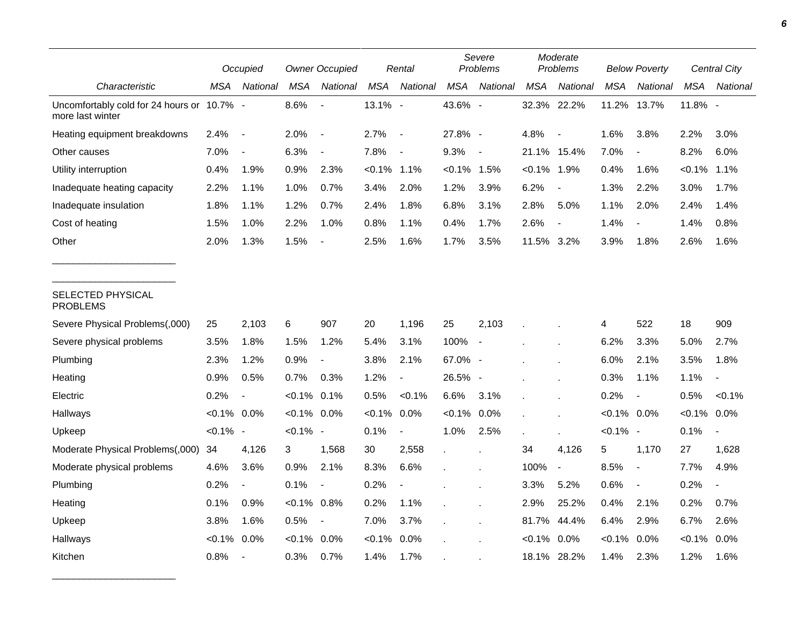|                                                                |                | Occupied                 |                | <b>Owner Occupied</b>    |                | Rental                   |              | Severe<br>Problems       |            | Moderate<br>Problems     |                | <b>Below Poverty</b>     |            | <b>Central City</b>      |
|----------------------------------------------------------------|----------------|--------------------------|----------------|--------------------------|----------------|--------------------------|--------------|--------------------------|------------|--------------------------|----------------|--------------------------|------------|--------------------------|
| Characteristic                                                 | MSA            | National                 | MSA            | National                 | <b>MSA</b>     | National                 | <b>MSA</b>   | National                 | <b>MSA</b> | National                 | MSA            | National                 | <b>MSA</b> | National                 |
| Uncomfortably cold for 24 hours or 10.7% -<br>more last winter |                |                          | 8.6%           | $\overline{a}$           | 13.1% -        |                          | 43.6% -      |                          |            | 32.3% 22.2%              | 11.2%          | 13.7%                    | 11.8% -    |                          |
| Heating equipment breakdowns                                   | 2.4%           | $\blacksquare$           | 2.0%           | $\overline{a}$           | 2.7%           | $\overline{\phantom{a}}$ | 27.8% -      |                          | 4.8%       | $\overline{\phantom{a}}$ | 1.6%           | 3.8%                     | 2.2%       | 3.0%                     |
| Other causes                                                   | 7.0%           | $\overline{\phantom{a}}$ | 6.3%           | $\blacksquare$           | 7.8%           | $\overline{\phantom{a}}$ | 9.3%         | $\overline{\phantom{a}}$ | 21.1%      | 15.4%                    | 7.0%           | $\overline{\phantom{a}}$ | 8.2%       | 6.0%                     |
| Utility interruption                                           | 0.4%           | 1.9%                     | 0.9%           | 2.3%                     | $< 0.1\%$ 1.1% |                          | $< 0.1\%$    | 1.5%                     | $< 0.1\%$  | 1.9%                     | 0.4%           | 1.6%                     | $< 0.1\%$  | 1.1%                     |
| Inadequate heating capacity                                    | 2.2%           | 1.1%                     | 1.0%           | 0.7%                     | 3.4%           | 2.0%                     | 1.2%         | 3.9%                     | 6.2%       | $\overline{\phantom{a}}$ | 1.3%           | 2.2%                     | 3.0%       | 1.7%                     |
| Inadequate insulation                                          | 1.8%           | 1.1%                     | 1.2%           | 0.7%                     | 2.4%           | 1.8%                     | 6.8%         | 3.1%                     | 2.8%       | 5.0%                     | 1.1%           | 2.0%                     | 2.4%       | 1.4%                     |
| Cost of heating                                                | 1.5%           | 1.0%                     | 2.2%           | 1.0%                     | 0.8%           | 1.1%                     | 0.4%         | 1.7%                     | 2.6%       | $\blacksquare$           | 1.4%           |                          | 1.4%       | 0.8%                     |
| Other                                                          | 2.0%           | 1.3%                     | 1.5%           |                          | 2.5%           | 1.6%                     | 1.7%         | 3.5%                     | 11.5% 3.2% |                          | 3.9%           | 1.8%                     | 2.6%       | 1.6%                     |
| SELECTED PHYSICAL<br><b>PROBLEMS</b>                           |                |                          |                |                          |                |                          |              |                          |            |                          |                |                          |            |                          |
| Severe Physical Problems(,000)                                 | 25             | 2,103                    | 6              | 907                      | 20             | 1,196                    | 25           | 2,103                    |            |                          | 4              | 522                      | 18         | 909                      |
| Severe physical problems                                       | 3.5%           | 1.8%                     | 1.5%           | 1.2%                     | 5.4%           | 3.1%                     | 100%         | $\overline{\phantom{a}}$ |            |                          | 6.2%           | 3.3%                     | 5.0%       | 2.7%                     |
| Plumbing                                                       | 2.3%           | 1.2%                     | 0.9%           | $\blacksquare$           | 3.8%           | 2.1%                     | 67.0% -      |                          |            |                          | 6.0%           | 2.1%                     | 3.5%       | 1.8%                     |
| Heating                                                        | 0.9%           | 0.5%                     | 0.7%           | 0.3%                     | 1.2%           | $\blacksquare$           | 26.5% -      |                          |            |                          | 0.3%           | 1.1%                     | 1.1%       |                          |
| Electric                                                       | 0.2%           | $\overline{\phantom{a}}$ | $< 0.1\%$      | 0.1%                     | 0.5%           | $< 0.1\%$                | 6.6%         | 3.1%                     |            |                          | 0.2%           | $\blacksquare$           | 0.5%       | $< 0.1\%$                |
| Hallways                                                       | $< 0.1\%$ 0.0% |                          | $< 0.1\%$ 0.0% |                          | $< 0.1\%$      | 0.0%                     | $< 0.1\%$    | 0.0%                     |            |                          | $< 0.1\%$ 0.0% |                          | $< 0.1\%$  | 0.0%                     |
| Upkeep                                                         | $< 0.1\%$ -    |                          | $< 0.1\%$ -    |                          | 0.1%           | $\blacksquare$           | 1.0%         | 2.5%                     |            | $\overline{\phantom{a}}$ | $< 0.1\%$ -    |                          | 0.1%       | $\overline{\phantom{a}}$ |
| Moderate Physical Problems(,000)                               | 34             | 4,126                    | 3              | 1,568                    | 30             | 2,558                    | $\mathbf{r}$ |                          | 34         | 4,126                    | 5              | 1,170                    | 27         | 1,628                    |
| Moderate physical problems                                     | 4.6%           | 3.6%                     | 0.9%           | 2.1%                     | 8.3%           | 6.6%                     |              |                          | 100%       | $\blacksquare$           | 8.5%           | $\overline{\phantom{a}}$ | 7.7%       | 4.9%                     |
| Plumbing                                                       | 0.2%           | $\overline{\phantom{a}}$ | 0.1%           | $\overline{\phantom{a}}$ | 0.2%           |                          |              |                          | 3.3%       | 5.2%                     | 0.6%           | $\overline{\phantom{a}}$ | 0.2%       |                          |
| Heating                                                        | 0.1%           | 0.9%                     | $< 0.1\%$      | 0.8%                     | 0.2%           | 1.1%                     |              |                          | 2.9%       | 25.2%                    | 0.4%           | 2.1%                     | 0.2%       | 0.7%                     |
| Upkeep                                                         | 3.8%           | 1.6%                     | 0.5%           | $\blacksquare$           | 7.0%           | 3.7%                     |              |                          | 81.7%      | 44.4%                    | 6.4%           | 2.9%                     | 6.7%       | 2.6%                     |
| Hallways                                                       | $< 0.1\%$      | 0.0%                     | $< 0.1\%$      | 0.0%                     | $< 0.1\%$      | 0.0%                     |              |                          | $< 0.1\%$  | 0.0%                     | $< 0.1\%$      | 0.0%                     | $< 0.1\%$  | 0.0%                     |
| Kitchen                                                        | 0.8%           | $\blacksquare$           | 0.3%           | 0.7%                     | 1.4%           | 1.7%                     |              |                          | 18.1%      | 28.2%                    | 1.4%           | 2.3%                     | 1.2%       | 1.6%                     |

\_\_\_\_\_\_\_\_\_\_\_\_\_\_\_\_\_\_\_\_\_\_\_